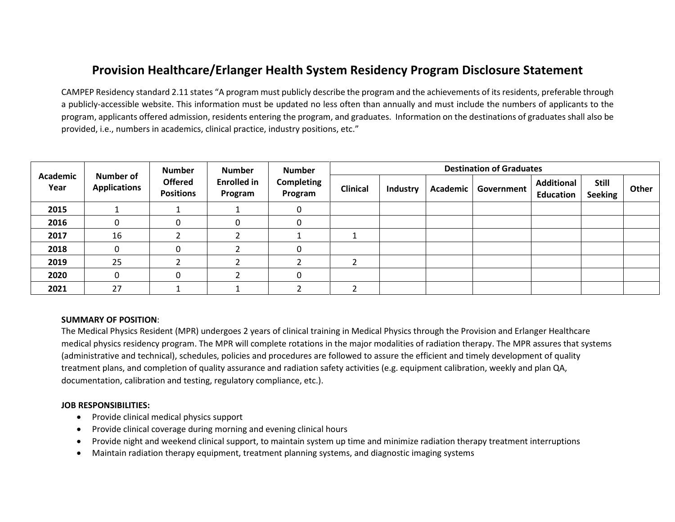# **Provision Healthcare/Erlanger Health System Residency Program Disclosure Statement**

CAMPEP Residency standard 2.11 states "A program must publicly describe the program and the achievements of its residents, preferable through a publicly-accessible website. This information must be updated no less often than annually and must include the numbers of applicants to the program, applicants offered admission, residents entering the program, and graduates. Information on the destinations of graduates shall also be provided, i.e., numbers in academics, clinical practice, industry positions, etc."

| Academic<br>Year | <b>Number of</b><br><b>Applications</b> | <b>Number</b><br><b>Offered</b><br><b>Positions</b> | <b>Number</b><br><b>Enrolled in</b><br>Program | <b>Number</b><br><b>Completing</b><br>Program | <b>Destination of Graduates</b> |                 |          |            |                                       |                                |       |
|------------------|-----------------------------------------|-----------------------------------------------------|------------------------------------------------|-----------------------------------------------|---------------------------------|-----------------|----------|------------|---------------------------------------|--------------------------------|-------|
|                  |                                         |                                                     |                                                |                                               | <b>Clinical</b>                 | <b>Industry</b> | Academic | Government | <b>Additional</b><br><b>Education</b> | <b>Still</b><br><b>Seeking</b> | Other |
| 2015             |                                         |                                                     |                                                | 0                                             |                                 |                 |          |            |                                       |                                |       |
| 2016             |                                         |                                                     | $\Omega$                                       | 0                                             |                                 |                 |          |            |                                       |                                |       |
| 2017             | 16                                      |                                                     |                                                |                                               |                                 |                 |          |            |                                       |                                |       |
| 2018             |                                         | 0                                                   |                                                | 0                                             |                                 |                 |          |            |                                       |                                |       |
| 2019             | 25                                      |                                                     |                                                |                                               |                                 |                 |          |            |                                       |                                |       |
| 2020             |                                         | 0                                                   |                                                |                                               |                                 |                 |          |            |                                       |                                |       |
| 2021             | 27                                      |                                                     |                                                |                                               |                                 |                 |          |            |                                       |                                |       |

### **SUMMARY OF POSITION**:

The Medical Physics Resident (MPR) undergoes 2 years of clinical training in Medical Physics through the Provision and Erlanger Healthcare medical physics residency program. The MPR will complete rotations in the major modalities of radiation therapy. The MPR assures that systems (administrative and technical), schedules, policies and procedures are followed to assure the efficient and timely development of quality treatment plans, and completion of quality assurance and radiation safety activities (e.g. equipment calibration, weekly and plan QA, documentation, calibration and testing, regulatory compliance, etc.).

### **JOB RESPONSIBILITIES:**

- Provide clinical medical physics support
- Provide clinical coverage during morning and evening clinical hours
- Provide night and weekend clinical support, to maintain system up time and minimize radiation therapy treatment interruptions
- Maintain radiation therapy equipment, treatment planning systems, and diagnostic imaging systems